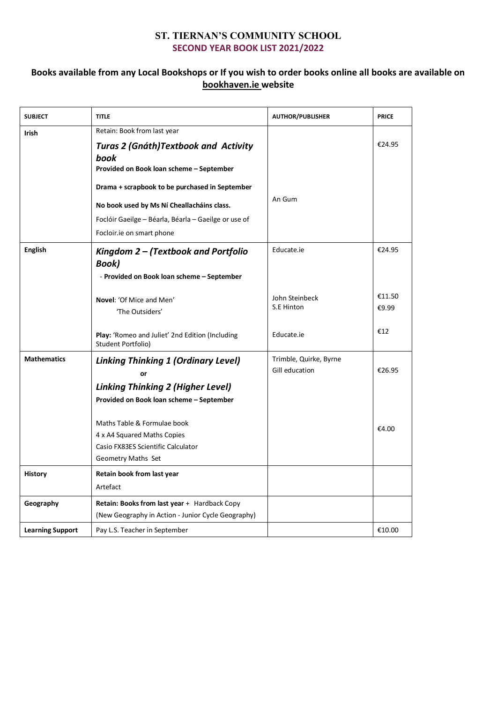## **ST. TIERNAN'S COMMUNITY SCHOOL SECOND YEAR BOOK LIST 2021/2022**

## **Books available from any Local Bookshops or If you wish to order books online all books are available on bookhaven.ie website**

| <b>SUBJECT</b>          | <b>TITLE</b>                                                                                                                                                                                                                                                                                                         | <b>AUTHOR/PUBLISHER</b>                  | <b>PRICE</b>    |
|-------------------------|----------------------------------------------------------------------------------------------------------------------------------------------------------------------------------------------------------------------------------------------------------------------------------------------------------------------|------------------------------------------|-----------------|
| <b>Irish</b>            | Retain: Book from last year<br><b>Turas 2 (Gnáth) Textbook and Activity</b><br>book<br>Provided on Book loan scheme - September<br>Drama + scrapbook to be purchased in September<br>No book used by Ms Ní Cheallacháins class.<br>Foclóir Gaeilge - Béarla, Béarla - Gaeilge or use of<br>Focloir.ie on smart phone | An Gum                                   | €24.95          |
| <b>English</b>          | Kingdom 2 - (Textbook and Portfolio<br><b>Book</b> )<br>- Provided on Book loan scheme – September                                                                                                                                                                                                                   | Educate.ie                               | €24.95          |
|                         | Novel: 'Of Mice and Men'<br>'The Outsiders'                                                                                                                                                                                                                                                                          | John Steinbeck<br>S.E Hinton             | €11.50<br>€9.99 |
|                         | Play: 'Romeo and Juliet' 2nd Edition (Including<br>Student Portfolio)                                                                                                                                                                                                                                                | Educate.ie                               | €12             |
| <b>Mathematics</b>      | <b>Linking Thinking 1 (Ordinary Level)</b><br>or<br><b>Linking Thinking 2 (Higher Level)</b><br>Provided on Book loan scheme - September<br>Maths Table & Formulae book<br>4 x A4 Squared Maths Copies<br>Casio FX83ES Scientific Calculator<br>Geometry Maths Set                                                   | Trimble, Quirke, Byrne<br>Gill education | €26.95<br>€4.00 |
| <b>History</b>          | Retain book from last year<br>Artefact                                                                                                                                                                                                                                                                               |                                          |                 |
| Geography               | Retain: Books from last year + Hardback Copy<br>(New Geography in Action - Junior Cycle Geography)                                                                                                                                                                                                                   |                                          |                 |
| <b>Learning Support</b> | Pay L.S. Teacher in September                                                                                                                                                                                                                                                                                        |                                          | €10.00          |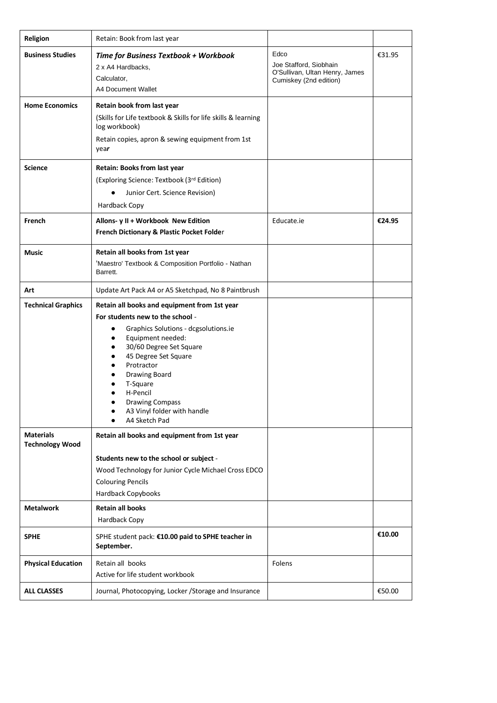| Religion                                   | Retain: Book from last year                                                                                                                                                                                                                                                                                                                                      |                                                                                            |        |
|--------------------------------------------|------------------------------------------------------------------------------------------------------------------------------------------------------------------------------------------------------------------------------------------------------------------------------------------------------------------------------------------------------------------|--------------------------------------------------------------------------------------------|--------|
| <b>Business Studies</b>                    | Time for Business Textbook + Workbook<br>2 x A4 Hardbacks,<br>Calculator,<br>A4 Document Wallet                                                                                                                                                                                                                                                                  | Edco<br>Joe Stafford, Siobhain<br>O'Sullivan, Ultan Henry, James<br>Cumiskey (2nd edition) | €31.95 |
| <b>Home Economics</b>                      | Retain book from last year<br>(Skills for Life textbook & Skills for life skills & learning<br>log workbook)<br>Retain copies, apron & sewing equipment from 1st<br>year                                                                                                                                                                                         |                                                                                            |        |
| <b>Science</b>                             | Retain: Books from last year<br>(Exploring Science: Textbook (3rd Edition)<br>Junior Cert. Science Revision)<br>Hardback Copy                                                                                                                                                                                                                                    |                                                                                            |        |
| French                                     | Allons- y II + Workbook New Edition<br>French Dictionary & Plastic Pocket Folder                                                                                                                                                                                                                                                                                 | Educate.ie                                                                                 | €24.95 |
| <b>Music</b>                               | Retain all books from 1st year<br>'Maestro' Textbook & Composition Portfolio - Nathan<br>Barrett.                                                                                                                                                                                                                                                                |                                                                                            |        |
| Art                                        | Update Art Pack A4 or A5 Sketchpad, No 8 Paintbrush                                                                                                                                                                                                                                                                                                              |                                                                                            |        |
| <b>Technical Graphics</b>                  | Retain all books and equipment from 1st year<br>For students new to the school -<br>Graphics Solutions - dcgsolutions.ie<br>٠<br>Equipment needed:<br>$\bullet$<br>30/60 Degree Set Square<br>$\bullet$<br>45 Degree Set Square<br>Protractor<br>Drawing Board<br>T-Square<br>H-Pencil<br><b>Drawing Compass</b><br>A3 Vinyl folder with handle<br>A4 Sketch Pad |                                                                                            |        |
| <b>Materials</b><br><b>Technology Wood</b> | Retain all books and equipment from 1st year<br>Students new to the school or subject -<br>Wood Technology for Junior Cycle Michael Cross EDCO<br><b>Colouring Pencils</b><br>Hardback Copybooks                                                                                                                                                                 |                                                                                            |        |
| <b>Metalwork</b>                           | <b>Retain all books</b><br>Hardback Copy                                                                                                                                                                                                                                                                                                                         |                                                                                            |        |
| <b>SPHE</b>                                | SPHE student pack: €10.00 paid to SPHE teacher in<br>September.                                                                                                                                                                                                                                                                                                  |                                                                                            | €10.00 |
| <b>Physical Education</b>                  | Retain all books<br>Active for life student workbook                                                                                                                                                                                                                                                                                                             | Folens                                                                                     |        |
| <b>ALL CLASSES</b>                         | Journal, Photocopying, Locker / Storage and Insurance                                                                                                                                                                                                                                                                                                            |                                                                                            | €50.00 |